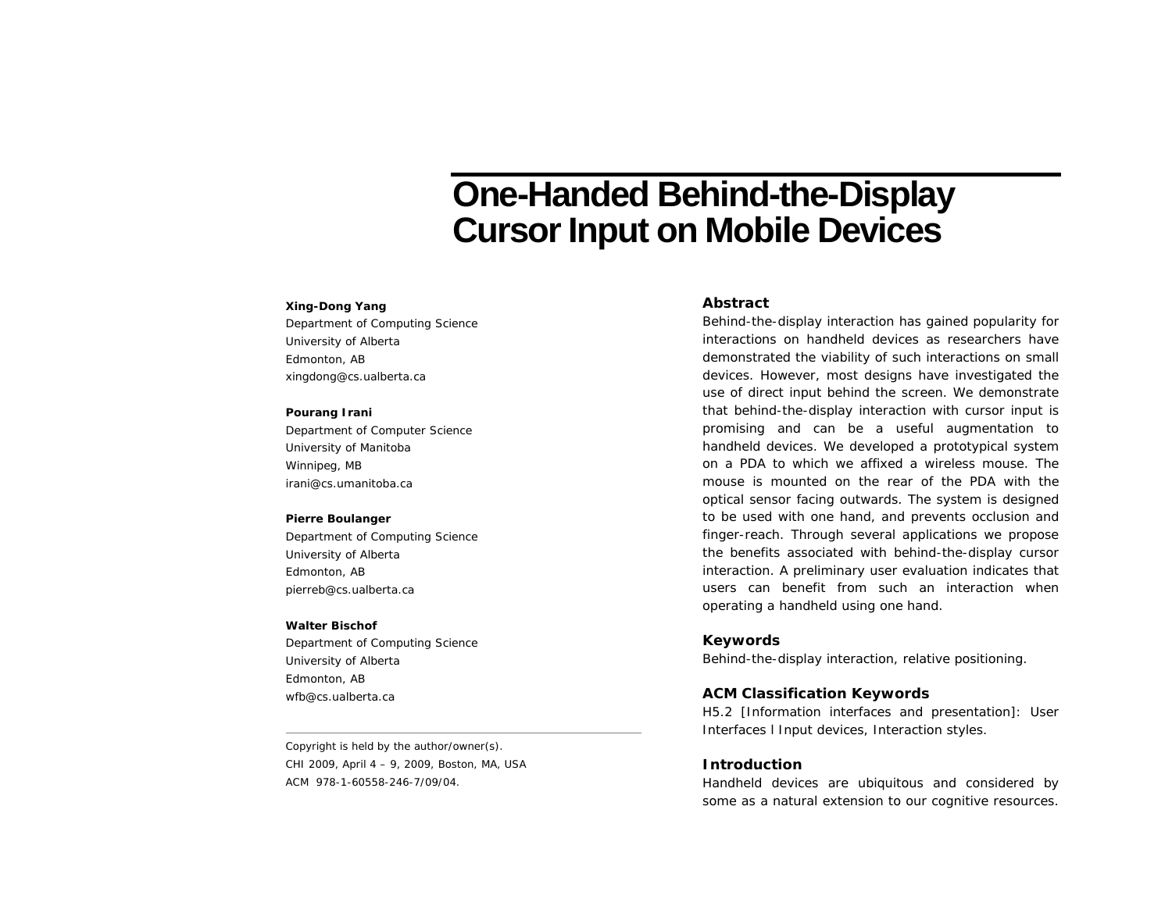# **One-Handed Behind-the-Display Cursor Input on Mobile Devices**

# **Xing-Dong Yang Abstract**

Department of Computing Science University of Alberta Edmonton, AB xingdong@cs.ualberta.ca

### **Pourang Irani**

Department of Computer Science University of Manitoba Winnipeg, MB irani@cs.umanitoba.ca

### **Pierre Boulanger**

Department of Computing Science University of Alberta Edmonton, AB pierreb@cs.ualberta.ca

# **Walter Bischof**

Department of Computing Science University of Alberta Edmonton, AB wfb@cs.ualberta.ca

Copyright is held by the author/owner(s). *CHI 2009*, April 4 – 9, 2009, Boston, MA, USA **Introduction** 

Behind-the-display interaction has gained popularity for interactions on handheld devices as researchers have demonstrated the viability of such interactions on small devices. However, most designs have investigated the use of direct input behind the screen. We demonstrate that behind-the-display interaction with cursor input is promising and can be a useful augmentation to handheld devices. We developed a prototypical system on a PDA to which we affixed a wireless mouse. The mouse is mounted on the rear of the PDA with the optical sensor facing outwards. The system is designed to be used with one hand, and prevents occlusion and finger-reach. Through several applications we propose the benefits associated with behind-the-display cursor interaction. A preliminary user evaluation indicates that users can benefit from such an interaction when operating a handheld using one hand.

# **Keywords**

Behind-the-display interaction, relative positioning.

# **ACM Classification Keywords**

H5.2 [Information interfaces and presentation]: User Interfaces l Input devices, Interaction styles.

ACM 978-1-60558-246-7/09/04. Handheld devices are ubiquitous and considered by some as a natural extension to our cognitive resources.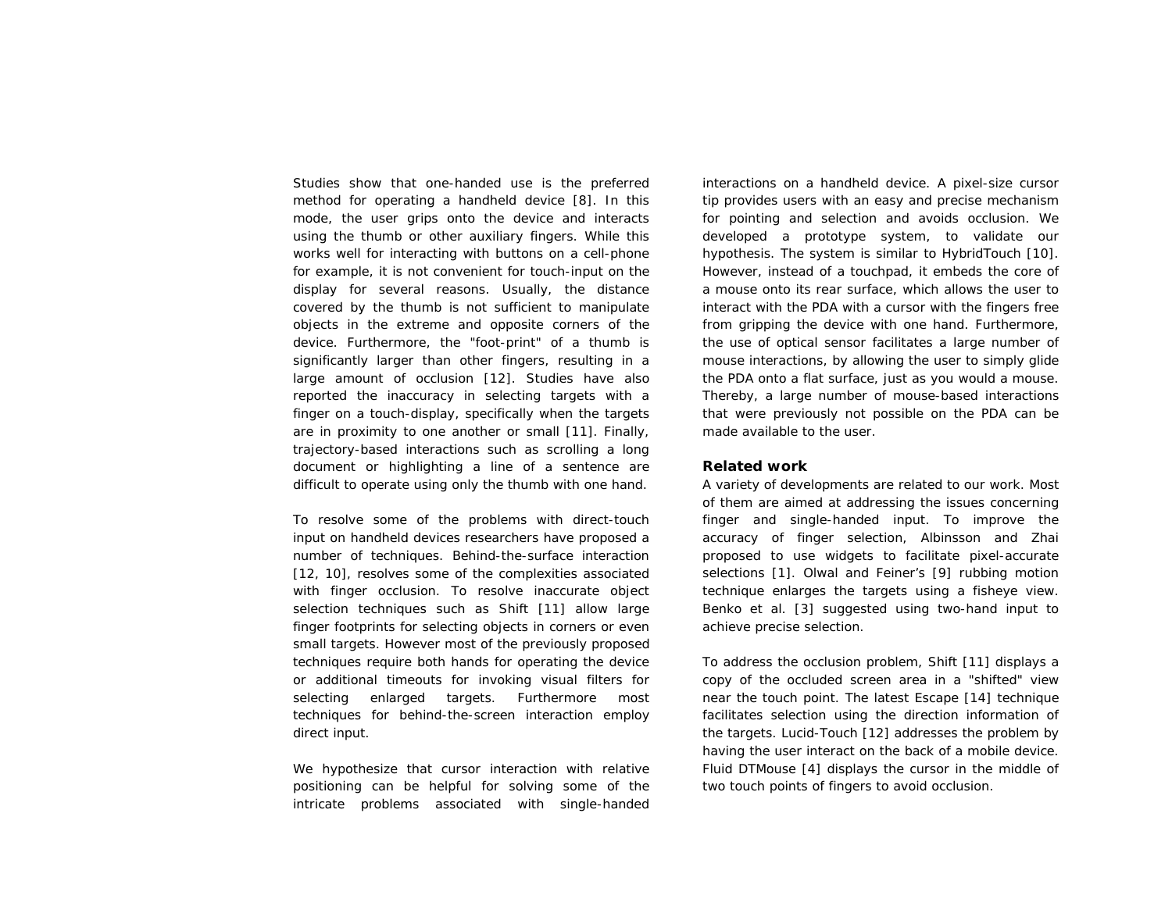Studies show that one-handed use is the preferred method for operating a handheld device [8]. In this mode, the user grips onto the device and interacts using the thumb or other auxiliary fingers. While this works well for interacting with buttons on a cell-phone for example, it is not convenient for touch-input on the display for several reasons. Usually, the distance covered by the thumb is not sufficient to manipulate objects in the extreme and opposite corners of the device. Furthermore, the "foot-print" of a thumb is significantly larger than other fingers, resulting in a large amount of occlusion [12]. Studies have also reported the inaccuracy in selecting targets with a finger on a touch-display, specifically when the targets are in proximity to one another or small [11]. Finally, trajectory-based interactions such as scrolling a long document or highlighting a line of a sentence are difficult to operate using only the thumb with one hand.

To resolve some of the problems with direct-touch input on handheld devices researchers have proposed a number of techniques. Behind-the-surface interaction [12, 10], resolves some of the complexities associated with finger occlusion. To resolve inaccurate object selection techniques such as Shift [11] allow large finger footprints for selecting objects in corners or even small targets. However most of the previously proposed techniques require both hands for operating the device or additional timeouts for invoking visual filters for selecting enlarged targets. Furthermore most techniques for behind-the-screen interaction employ direct input.

We hypothesize that cursor interaction with relative positioning can be helpful for solving some of the intricate problems associated with single-handed

interactions on a handheld device. A pixel-size cursor tip provides users with an easy and precise mechanism for pointing and selection and avoids occlusion. We developed a prototype system, to validate our hypothesis. The system is similar to HybridTouch [10]. However, instead of a touchpad, it embeds the core of a mouse onto its rear surface, which allows the user to interact with the PDA with a cursor with the fingers free from gripping the device with one hand. Furthermore, the use of optical sensor facilitates a large number of mouse interactions, by allowing the user to simply glide the PDA onto a flat surface, just as you would a mouse. Thereby, a large number of mouse-based interactions that were previously not possible on the PDA can be made available to the user.

### **Related work**

A variety of developments are related to our work. Most of them are aimed at addressing the issues concerning finger and single-handed input. To improve the accuracy of finger selection, Albinsson and Zhai proposed to use widgets to facilitate pixel-accurate selections [1]. Olwal and Feiner's [9] rubbing motion technique enlarges the targets using a fisheye view. Benko et al. [3] suggested using two-hand input to achieve precise selection.

To address the occlusion problem, Shift [11] displays a copy of the occluded screen area in a "shifted" view near the touch point. The latest Escape [14] technique facilitates selection using the direction information of the targets. Lucid-Touch [12] addresses the problem by having the user interact on the back of a mobile device. Fluid DTMouse [4] displays the cursor in the middle of two touch points of fingers to avoid occlusion.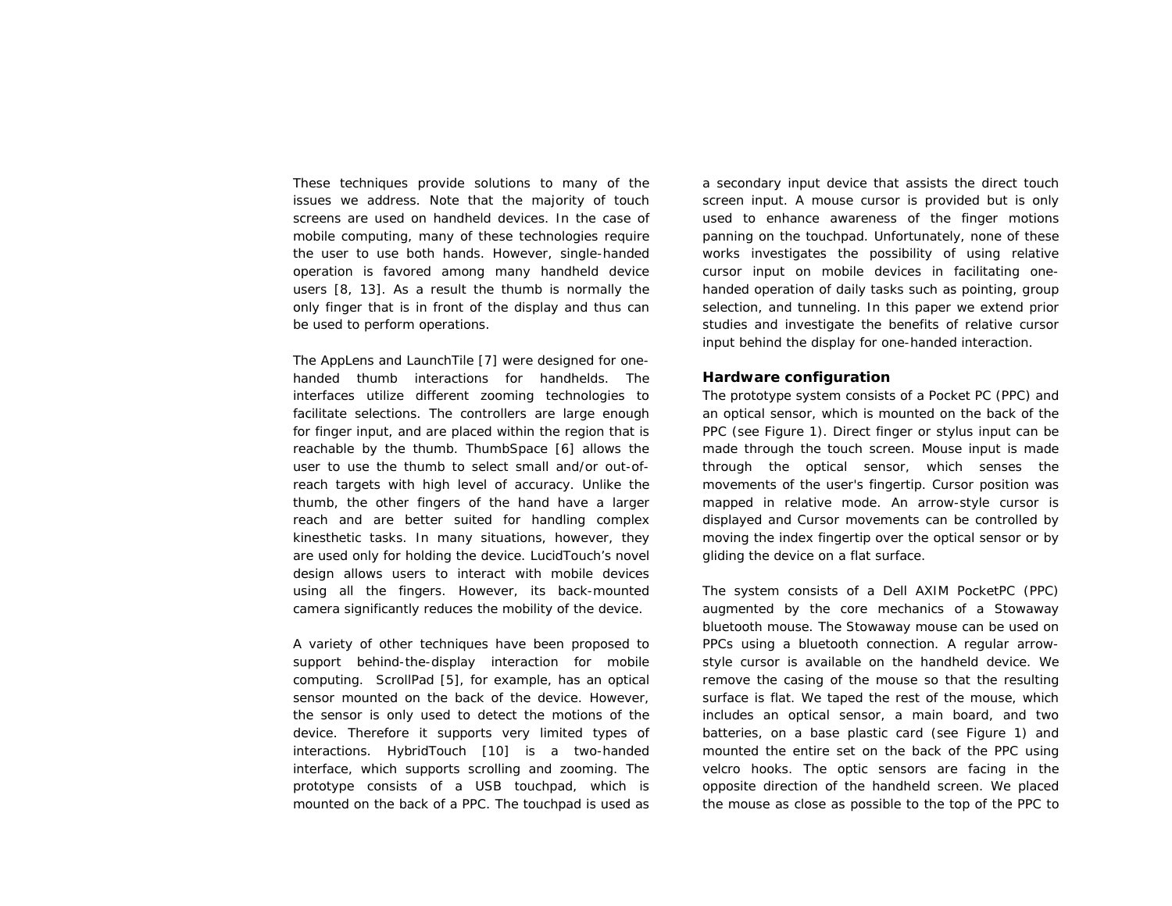These techniques provide solutions to many of the issues we address. Note that the majority of touch screens are used on handheld devices. In the case of mobile computing, many of these technologies require the user to use both hands. However, single-handed operation is favored among many handheld device users [8, 13]. As a result the thumb is normally the only finger that is in front of the display and thus can be used to perform operations.

The AppLens and LaunchTile [7] were designed for onehanded thumb interactions for handhelds. The interfaces utilize different zooming technologies to facilitate selections. The controllers are large enough for finger input, and are placed within the region that is reachable by the thumb. ThumbSpace [6] allows the user to use the thumb to select small and/or out-ofreach targets with high level of accuracy. Unlike the thumb, the other fingers of the hand have a larger reach and are better suited for handling complex kinesthetic tasks. In many situations, however, they are used only for holding the device. LucidTouch's novel design allows users to interact with mobile devices using all the fingers. However, its back-mounted camera significantly reduces the mobility of the device.

A variety of other techniques have been proposed to support behind-the-display interaction for mobile computing. ScrollPad [5], for example, has an optical sensor mounted on the back of the device. However, the sensor is only used to detect the motions of the device. Therefore it supports very limited types of interactions. HybridTouch [10] is a two-handed interface, which supports scrolling and zooming. The prototype consists of a USB touchpad, which is mounted on the back of a PPC. The touchpad is used as

a secondary input device that assists the direct touch screen input. A mouse cursor is provided but is only used to enhance awareness of the finger motions panning on the touchpad. Unfortunately, none of these works investigates the possibility of using relative cursor input on mobile devices in facilitating onehanded operation of daily tasks such as pointing, group selection, and tunneling. In this paper we extend prior studies and investigate the benefits of relative cursor input behind the display for one-handed interaction.

# **Hardware configuration**

The prototype system consists of a Pocket PC (PPC) and an optical sensor, which is mounted on the back of the PPC (see Figure 1). Direct finger or stylus input can be made through the touch screen. Mouse input is made through the optical sensor, which senses the movements of the user's fingertip. Cursor position was mapped in relative mode. An arrow-style cursor is displayed and Cursor movements can be controlled by moving the index fingertip over the optical sensor or by gliding the device on a flat surface.

The system consists of a Dell AXIM PocketPC (PPC) augmented by the core mechanics of a Stowaway bluetooth mouse. The Stowaway mouse can be used on PPCs using a bluetooth connection. A regular arrowstyle cursor is available on the handheld device. We remove the casing of the mouse so that the resulting surface is flat. We taped the rest of the mouse, which includes an optical sensor, a main board, and two batteries, on a base plastic card (see Figure 1) and mounted the entire set on the back of the PPC using velcro hooks. The optic sensors are facing in the opposite direction of the handheld screen. We placed the mouse as close as possible to the top of the PPC to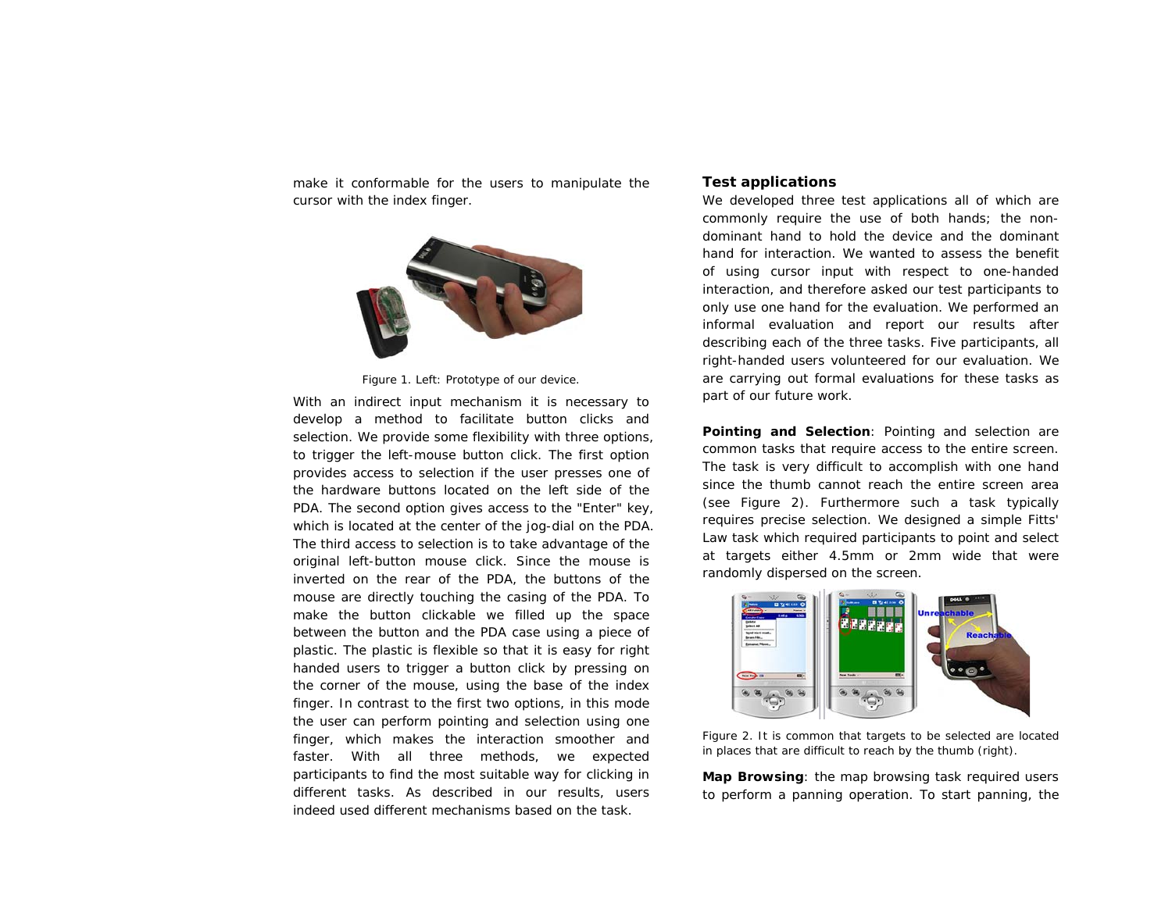make it conformable for the users to manipulate the cursor with the index finger.



Figure 1. Left: Prototype of our device.

With an indirect input mechanism it is necessary to develop a method to facilitate button clicks and selection. We provide some flexibility with three options, to trigger the left-mouse button click. The first option provides access to selection if the user presses one of the hardware buttons located on the left side of the PDA. The second option gives access to the "Enter" key, which is located at the center of the jog-dial on the PDA. The third access to selection is to take advantage of the original left-button mouse click. Since the mouse is inverted on the rear of the PDA, the buttons of the mouse are directly touching the casing of the PDA. To make the button clickable we filled up the space between the button and the PDA case using a piece of plastic. The plastic is flexible so that it is easy for right handed users to trigger a button click by pressing on the corner of the mouse, using the base of the index finger. In contrast to the first two options, in this mode the user can perform pointing and selection using one finger, which makes the interaction smoother and faster. With all three methods, we expected participants to find the most suitable way for clicking in different tasks. As described in our results, users indeed used different mechanisms based on the task.

# **Test applications**

We developed three test applications all of which are commonly require the use of both hands; the nondominant hand to hold the device and the dominant hand for interaction. We wanted to assess the benefit of using cursor input with respect to one-handed interaction, and therefore asked our test participants to only use one hand for the evaluation. We performed an informal evaluation and report our results after describing each of the three tasks. Five participants, all right-handed users volunteered for our evaluation. We are carrying out formal evaluations for these tasks as part of our future work.

**Pointing and Selection**: Pointing and selection are common tasks that require access to the entire screen. The task is very difficult to accomplish with one hand since the thumb cannot reach the entire screen area (see Figure 2). Furthermore such a task typically requires precise selection. We designed a simple Fitts' Law task which required participants to point and select at targets either 4.5mm or 2mm wide that were randomly dispersed on the screen.



Figure 2. It is common that targets to be selected are located in places that are difficult to reach by the thumb (right).

**Map Browsing**: the map browsing task required users to perform a panning operation. To start panning, the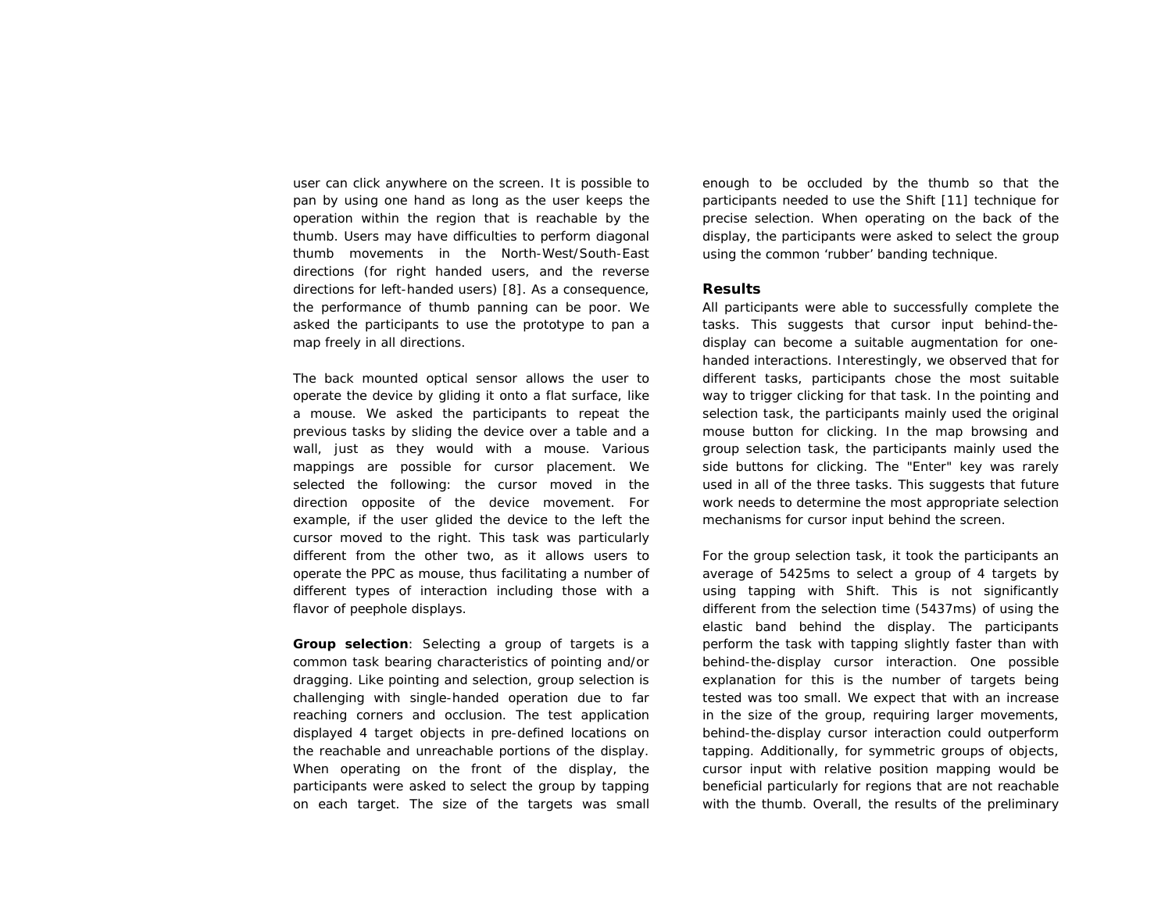user can click anywhere on the screen. It is possible to pan by using one hand as long as the user keeps the operation within the region that is reachable by the thumb. Users may have difficulties to perform diagonal thumb movements in the North-West/South-East directions (for right handed users, and the reverse directions for left-handed users) [8]. As a consequence, the performance of thumb panning can be poor. We asked the participants to use the prototype to pan a map freely in all directions.

The back mounted optical sensor allows the user to operate the device by gliding it onto a flat surface, like a mouse. We asked the participants to repeat the previous tasks by sliding the device over a table and a wall, just as they would with a mouse. Various mappings are possible for cursor placement. We selected the following: the cursor moved in the direction opposite of the device movement. For example, if the user glided the device to the left the cursor moved to the right. This task was particularly different from the other two, as it allows users to operate the PPC as mouse, thus facilitating a number of different types of interaction including those with a flavor of peephole displays.

**Group selection**: Selecting a group of targets is a common task bearing characteristics of pointing and/or dragging. Like pointing and selection, group selection is challenging with single-handed operation due to far reaching corners and occlusion. The test application displayed 4 target objects in pre-defined locations on the reachable and unreachable portions of the display. When operating on the front of the display, the participants were asked to select the group by tapping on each target. The size of the targets was small

enough to be occluded by the thumb so that the participants needed to use the Shift [11] technique for precise selection. When operating on the back of the display, the participants were asked to select the group using the common 'rubber' banding technique.

### **Results**

All participants were able to successfully complete the tasks. This suggests that cursor input behind-thedisplay can become a suitable augmentation for onehanded interactions. Interestingly, we observed that for different tasks, participants chose the most suitable way to trigger clicking for that task. In the pointing and selection task, the participants mainly used the original mouse button for clicking. In the map browsing and group selection task, the participants mainly used the side buttons for clicking. The "Enter" key was rarely used in all of the three tasks. This suggests that future work needs to determine the most appropriate selection mechanisms for cursor input behind the screen.

For the group selection task, it took the participants an average of 5425ms to select a group of 4 targets by using tapping with Shift. This is not significantly different from the selection time (5437ms) of using the elastic band behind the display. The participants perform the task with tapping slightly faster than with behind-the-display cursor interaction. One possible explanation for this is the number of targets being tested was too small. We expect that with an increase in the size of the group, requiring larger movements, behind-the-display cursor interaction could outperform tapping. Additionally, for symmetric groups of objects, cursor input with relative position mapping would be beneficial particularly for regions that are not reachable with the thumb. Overall, the results of the preliminary